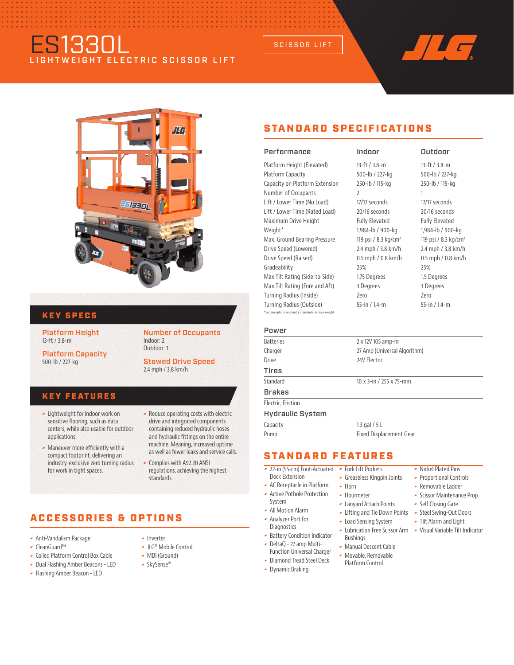# ES1330L LIGHTWEIGHT ELECTRIC SCISSOR LIFT



## KEY SPECS

Platform Height 13-ft / 3.8-m

Platform Capacity 500-lb / 227-kg

### Number of Occupants Indoor: 2 Outdoor: 1

Stowed Drive Speed 2.4 mph / 3.8 km/h

### KEY FEATURES

- Lightweight for indoor work on sensitive flooring, such as data centers, while also usable for outdoor applications.
- Maneuver more efficiently with a compact footprint, delivering an industry-exclusive zero turning radius for work in tight spaces.

### - Reduce operating costs with electric drive and integrated components containing reduced hydraulic hoses and hydraulic fittings on the entire machine. Meaning, increased uptime as well as fewer leaks and service calls.

regulations, achieving the highest standards.

## ACCESSORIES & OPTIONS

- Anti-Vandalism Package
- CleanGuard™
- Coiled Platform Control Box Cable
- Dual Flashing Amber Beacons LED
- Flashing Amber Beacon LED
- **-** Inverter
- JLG® Mobile Control
- MDI (Ground)
- SkySense®

Complies with A92.20 ANSI

STANDARD SPECIFICATIONS

SCISSOR LIFT

| Performance                                           | Indoor                           | Outdoor                          |
|-------------------------------------------------------|----------------------------------|----------------------------------|
| Platform Height (Elevated)                            | 13-ft / 3.8-m                    | 13-ft / 3.8-m                    |
| Platform Capacity                                     | 500-lb / 227-kg                  | 500-lb / 227-kg                  |
| Capacity on Platform Extension                        | 250-lb / 115-kg                  | 250-lb / 115-kg                  |
| Number of Occupants                                   | $\overline{\phantom{a}}$         | 1                                |
| Lift / Lower Time (No Load)                           | 17/17 seconds                    | 17/17 seconds                    |
| Lift / Lower Time (Rated Load)                        | 20/16 seconds                    | 20/16 seconds                    |
| Maximum Drive Height                                  | <b>Fully Elevated</b>            | <b>Fully Elevated</b>            |
| Weight*                                               | 1,984-lb / 900-kg                | 1,984-lb / 900-kg                |
| Max. Ground Bearing Pressure                          | 119 psi / 8.3 kg/cm <sup>2</sup> | 119 psi / 8.3 kg/cm <sup>2</sup> |
| Drive Speed (Lowered)                                 | 2.4 mph / 3.8 km/h               | 2.4 mph / 3.8 km/h               |
| Drive Speed (Raised)                                  | $0.5$ mph $/ 0.8$ km/h           | $0.5$ mph $/ 0.8$ km/h           |
| Gradeability                                          | 25%                              | 25%                              |
| Max Tilt Rating (Side-to-Side)                        | 1.75 Degrees                     | 1.5 Degrees                      |
| Max Tilt Rating (Fore and Aft)                        | 3 Degrees                        | 3 Degrees                        |
| Turning Radius (Inside)                               | Zero                             | Zero                             |
| Turning Radius (Outside)                              | 55-in / 1.4-m                    | 55-in $/14$ -m                   |
| *Certain options or country standards increase weight |                                  |                                  |
| Power                                                 |                                  |                                  |
|                                                       |                                  |                                  |

| <b>Batteries</b>        | 2 x 12V 105 amp-hr             |
|-------------------------|--------------------------------|
| Charger                 | 27 Amp (Universal Algorithm)   |
| <b>Drive</b>            | 24V Electric                   |
| Tires                   |                                |
| Standard                | 10 x 3-in / 255 x 75-mm        |
| Brakes                  |                                |
| Electric, Friction      |                                |
| <b>Hydraulic System</b> |                                |
| Capacity                | 1.3 gal $/$ 5 L                |
| Pump                    | <b>Fixed Displacement Gear</b> |
|                         |                                |

## STANDARD FEATURES

- 22-in (55-cm) Foot-Actuated Fork Lift Pockets
- Deck Extension AC Receptacle in Platform
- Active Pothole Protection
- System All Motion Alarm
- Analyzer Port for
- **Diagnostics - Battery Condition Indicator**

Dynamic Braking

- DeltaQ 27 amp Multi-Function Universal Charger
	- Platform Control

### Nickel Plated Pins

- **Proportional Controls**
- Removable Ladder
- **Scissor Maintenance Prop**
- Self Closing Gate
- Steel Swing-Out Doors
- Tilt Alarm and Light
- Lubrication Free Scissor Arm Visual Variable Tilt Indicator
- Manual Descent Cable Movable, Removable
	-
- Bushings
- 

Greaseless Kingpin Joints

- 
- **-** Diamond Tread Steel Deck

 $\blacktriangleright$  Horn **-** Hourmeter Lanyard Attach Points Lifting and Tie Down Points Load Sensing System